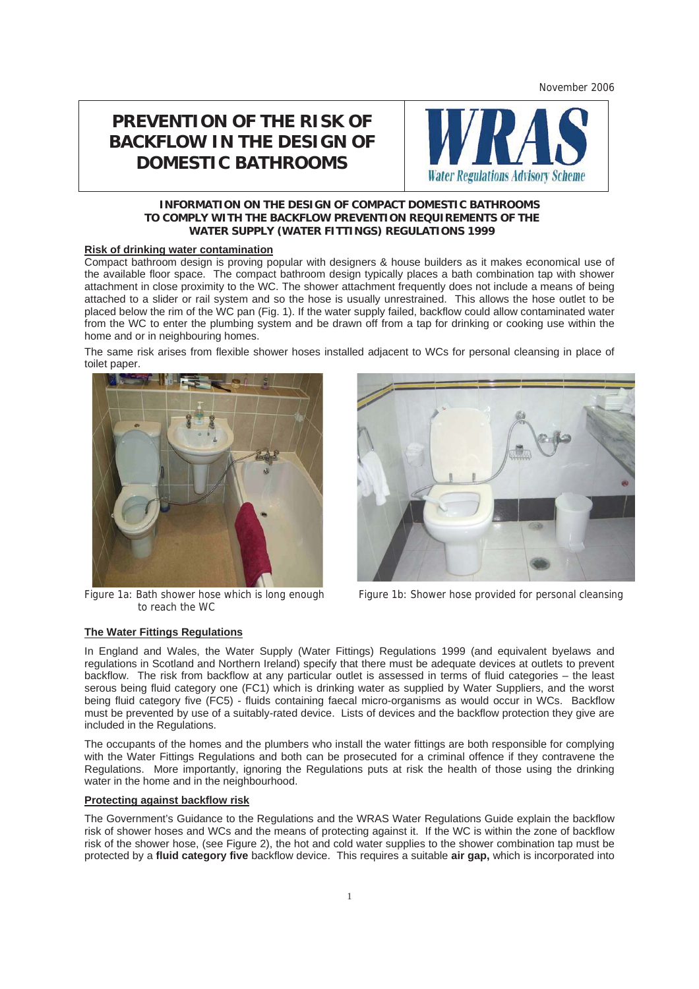November 2006

# **PREVENTION OF THE RISK OF BACKFLOW IN THE DESIGN OF DOMESTIC BATHROOMS**



## **INFORMATION ON THE DESIGN OF COMPACT DOMESTIC BATHROOMS TO COMPLY WITH THE BACKFLOW PREVENTION REQUIREMENTS OF THE WATER SUPPLY (WATER FITTINGS) REGULATIONS 1999**

### **Risk of drinking water contamination**

Compact bathroom design is proving popular with designers & house builders as it makes economical use of the available floor space. The compact bathroom design typically places a bath combination tap with shower attachment in close proximity to the WC. The shower attachment frequently does not include a means of being attached to a slider or rail system and so the hose is usually unrestrained. This allows the hose outlet to be placed below the rim of the WC pan (Fig. 1). If the water supply failed, backflow could allow contaminated water from the WC to enter the plumbing system and be drawn off from a tap for drinking or cooking use within the home and or in neighbouring homes.

The same risk arises from flexible shower hoses installed adjacent to WCs for personal cleansing in place of toilet paper.



to reach the WC



Figure 1a: Bath shower hose which is long enough Figure 1b: Shower hose provided for personal cleansing

## **The Water Fittings Regulations**

In England and Wales, the Water Supply (Water Fittings) Regulations 1999 (and equivalent byelaws and regulations in Scotland and Northern Ireland) specify that there must be adequate devices at outlets to prevent backflow. The risk from backflow at any particular outlet is assessed in terms of fluid categories – the least serous being fluid category one (FC1) which is drinking water as supplied by Water Suppliers, and the worst being fluid category five (FC5) - fluids containing faecal micro-organisms as would occur in WCs. Backflow must be prevented by use of a suitably-rated device. Lists of devices and the backflow protection they give are included in the Regulations.

The occupants of the homes and the plumbers who install the water fittings are both responsible for complying with the Water Fittings Regulations and both can be prosecuted for a criminal offence if they contravene the Regulations. More importantly, ignoring the Regulations puts at risk the health of those using the drinking water in the home and in the neighbourhood.

#### **Protecting against backflow risk**

The Government's Guidance to the Regulations and the WRAS Water Regulations Guide explain the backflow risk of shower hoses and WCs and the means of protecting against it. If the WC is within the zone of backflow risk of the shower hose, (see Figure 2), the hot and cold water supplies to the shower combination tap must be protected by a **fluid category five** backflow device. This requires a suitable **air gap,** which is incorporated into